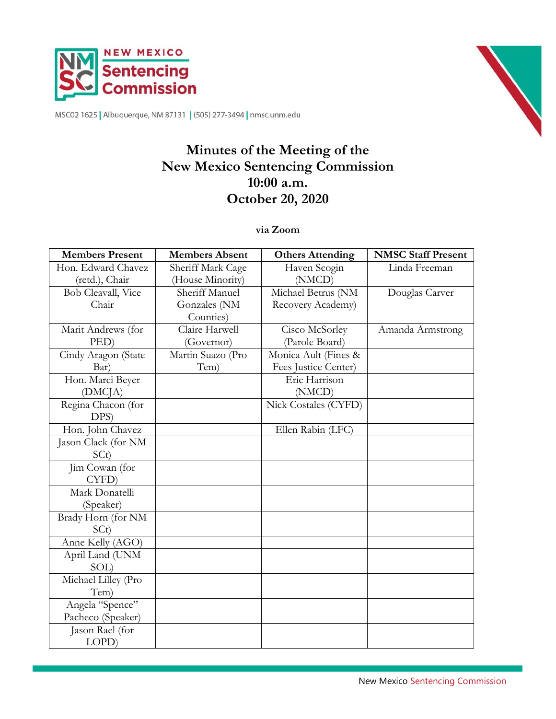



MSC02 1625 | Albuquerque, NM 87131 | (505) 277-3494 | nmsc.unm.edu

# **Minutes of the Meeting of the New Mexico Sentencing Commission 10:00 a.m. October 20, 2020**

**via Zoom**

| <b>Members Present</b> | <b>Members Absent</b> | <b>Others Attending</b> | <b>NMSC Staff Present</b> |
|------------------------|-----------------------|-------------------------|---------------------------|
| Hon. Edward Chavez     | Sheriff Mark Cage     | Haven Scogin            | Linda Freeman             |
| (retd.), Chair         | (House Minority)      | (NMCD)                  |                           |
| Bob Cleavall, Vice     | Sheriff Manuel        | Michael Betrus (NM      | Douglas Carver            |
| Chair                  | Gonzales (NM          | Recovery Academy)       |                           |
|                        | Counties)             |                         |                           |
| Marit Andrews (for     | Claire Harwell        | Cisco McSorley          | Amanda Armstrong          |
| PED)                   | (Governor)            | (Parole Board)          |                           |
| Cindy Aragon (State    | Martin Suazo (Pro     | Monica Ault (Fines &    |                           |
| Bar)                   | Tem)                  | Fees Justice Center)    |                           |
| Hon. Marci Beyer       |                       | Eric Harrison           |                           |
| (DMCJA)                |                       | (NMCD)                  |                           |
| Regina Chacon (for     |                       | Nick Costales (CYFD)    |                           |
| DPS)                   |                       |                         |                           |
| Hon. John Chavez       |                       | Ellen Rabin (LFC)       |                           |
| Jason Clack (for NM    |                       |                         |                           |
| SCt)                   |                       |                         |                           |
| Jim Cowan (for         |                       |                         |                           |
| CYFD)                  |                       |                         |                           |
| Mark Donatelli         |                       |                         |                           |
| (Speaker)              |                       |                         |                           |
| Brady Horn (for NM     |                       |                         |                           |
| SCt)                   |                       |                         |                           |
| Anne Kelly (AGO)       |                       |                         |                           |
| April Land (UNM        |                       |                         |                           |
| SOL)                   |                       |                         |                           |
| Michael Lilley (Pro    |                       |                         |                           |
| Tem)                   |                       |                         |                           |
| Angela "Spence"        |                       |                         |                           |
| Pacheco (Speaker)      |                       |                         |                           |
| Jason Rael (for        |                       |                         |                           |
| LOPD)                  |                       |                         |                           |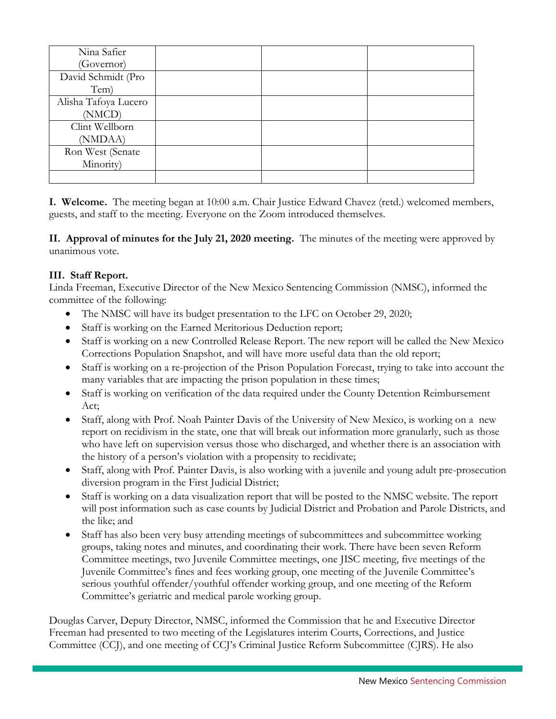| Nina Safier          |  |  |
|----------------------|--|--|
| (Governor)           |  |  |
| David Schmidt (Pro   |  |  |
| Tem)                 |  |  |
| Alisha Tafoya Lucero |  |  |
| (NMCD)               |  |  |
| Clint Wellborn       |  |  |
| (NMDAA)              |  |  |
| Ron West (Senate     |  |  |
| Minority)            |  |  |
|                      |  |  |

**I. Welcome.** The meeting began at 10:00 a.m. Chair Justice Edward Chavez (retd.) welcomed members, guests, and staff to the meeting. Everyone on the Zoom introduced themselves.

**II. Approval of minutes for the July 21, 2020 meeting.** The minutes of the meeting were approved by unanimous vote.

## **III. Staff Report.**

Linda Freeman, Executive Director of the New Mexico Sentencing Commission (NMSC), informed the committee of the following:

- The NMSC will have its budget presentation to the LFC on October 29, 2020;
- Staff is working on the Earned Meritorious Deduction report;
- Staff is working on a new Controlled Release Report. The new report will be called the New Mexico Corrections Population Snapshot, and will have more useful data than the old report;
- Staff is working on a re-projection of the Prison Population Forecast, trying to take into account the many variables that are impacting the prison population in these times;
- Staff is working on verification of the data required under the County Detention Reimbursement Act;
- Staff, along with Prof. Noah Painter Davis of the University of New Mexico, is working on a new report on recidivism in the state, one that will break out information more granularly, such as those who have left on supervision versus those who discharged, and whether there is an association with the history of a person's violation with a propensity to recidivate;
- Staff, along with Prof. Painter Davis, is also working with a juvenile and young adult pre-prosecution diversion program in the First Judicial District;
- Staff is working on a data visualization report that will be posted to the NMSC website. The report will post information such as case counts by Judicial District and Probation and Parole Districts, and the like; and
- Staff has also been very busy attending meetings of subcommittees and subcommittee working groups, taking notes and minutes, and coordinating their work. There have been seven Reform Committee meetings, two Juvenile Committee meetings, one JISC meeting, five meetings of the Juvenile Committee's fines and fees working group, one meeting of the Juvenile Committee's serious youthful offender/youthful offender working group, and one meeting of the Reform Committee's geriatric and medical parole working group.

Douglas Carver, Deputy Director, NMSC, informed the Commission that he and Executive Director Freeman had presented to two meeting of the Legislatures interim Courts, Corrections, and Justice Committee (CCJ), and one meeting of CCJ's Criminal Justice Reform Subcommittee (CJRS). He also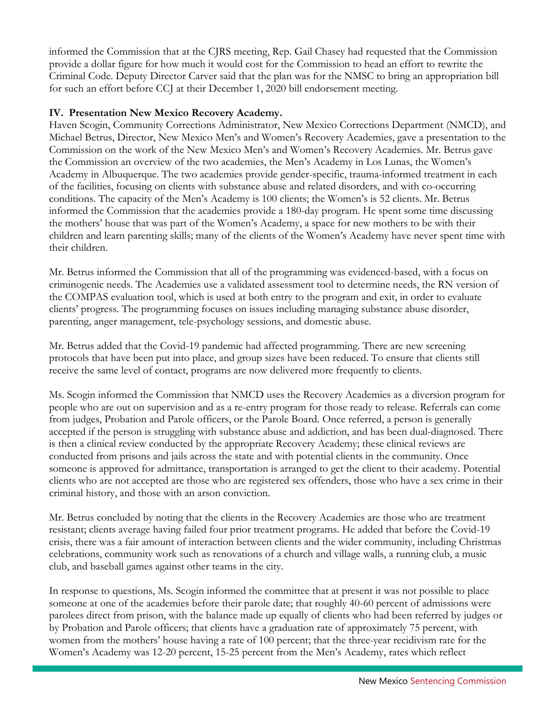informed the Commission that at the CJRS meeting, Rep. Gail Chasey had requested that the Commission provide a dollar figure for how much it would cost for the Commission to head an effort to rewrite the Criminal Code. Deputy Director Carver said that the plan was for the NMSC to bring an appropriation bill for such an effort before CCJ at their December 1, 2020 bill endorsement meeting.

#### **IV. Presentation New Mexico Recovery Academy.**

Haven Scogin, Community Corrections Administrator, New Mexico Corrections Department (NMCD), and Michael Betrus, Director, New Mexico Men's and Women's Recovery Academies, gave a presentation to the Commission on the work of the New Mexico Men's and Women's Recovery Academies. Mr. Betrus gave the Commission an overview of the two academies, the Men's Academy in Los Lunas, the Women's Academy in Albuquerque. The two academies provide gender-specific, trauma-informed treatment in each of the facilities, focusing on clients with substance abuse and related disorders, and with co-occurring conditions. The capacity of the Men's Academy is 100 clients; the Women's is 52 clients. Mr. Betrus informed the Commission that the academies provide a 180-day program. He spent some time discussing the mothers' house that was part of the Women's Academy, a space for new mothers to be with their children and learn parenting skills; many of the clients of the Women's Academy have never spent time with their children.

Mr. Betrus informed the Commission that all of the programming was evidenced-based, with a focus on criminogenic needs. The Academies use a validated assessment tool to determine needs, the RN version of the COMPAS evaluation tool, which is used at both entry to the program and exit, in order to evaluate clients' progress. The programming focuses on issues including managing substance abuse disorder, parenting, anger management, tele-psychology sessions, and domestic abuse.

Mr. Betrus added that the Covid-19 pandemic had affected programming. There are new screening protocols that have been put into place, and group sizes have been reduced. To ensure that clients still receive the same level of contact, programs are now delivered more frequently to clients.

Ms. Scogin informed the Commission that NMCD uses the Recovery Academies as a diversion program for people who are out on supervision and as a re-entry program for those ready to release. Referrals can come from judges, Probation and Parole officers, or the Parole Board. Once referred, a person is generally accepted if the person is struggling with substance abuse and addiction, and has been dual-diagnosed. There is then a clinical review conducted by the appropriate Recovery Academy; these clinical reviews are conducted from prisons and jails across the state and with potential clients in the community. Once someone is approved for admittance, transportation is arranged to get the client to their academy. Potential clients who are not accepted are those who are registered sex offenders, those who have a sex crime in their criminal history, and those with an arson conviction.

Mr. Betrus concluded by noting that the clients in the Recovery Academies are those who are treatment resistant; clients average having failed four prior treatment programs. He added that before the Covid-19 crisis, there was a fair amount of interaction between clients and the wider community, including Christmas celebrations, community work such as renovations of a church and village walls, a running club, a music club, and baseball games against other teams in the city.

In response to questions, Ms. Scogin informed the committee that at present it was not possible to place someone at one of the academies before their parole date; that roughly 40-60 percent of admissions were parolees direct from prison, with the balance made up equally of clients who had been referred by judges or by Probation and Parole officers; that clients have a graduation rate of approximately 75 percent, with women from the mothers' house having a rate of 100 percent; that the three-year recidivism rate for the Women's Academy was 12-20 percent, 15-25 percent from the Men's Academy, rates which reflect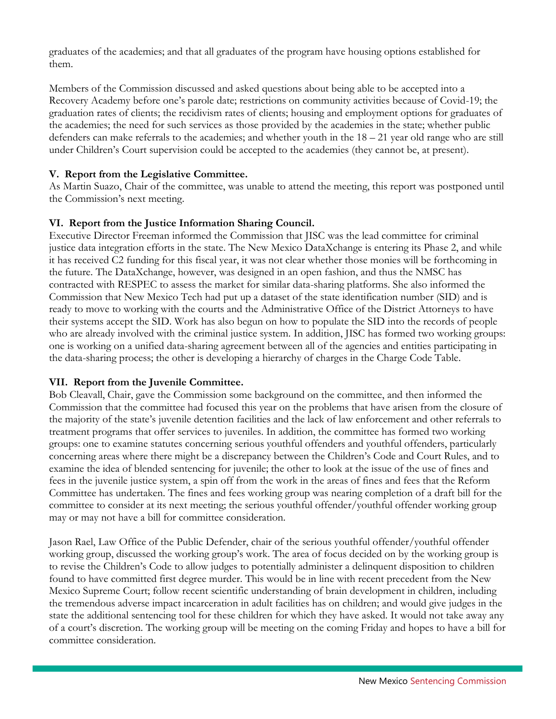graduates of the academies; and that all graduates of the program have housing options established for them.

Members of the Commission discussed and asked questions about being able to be accepted into a Recovery Academy before one's parole date; restrictions on community activities because of Covid-19; the graduation rates of clients; the recidivism rates of clients; housing and employment options for graduates of the academies; the need for such services as those provided by the academies in the state; whether public defenders can make referrals to the academies; and whether youth in the 18 – 21 year old range who are still under Children's Court supervision could be accepted to the academies (they cannot be, at present).

## **V. Report from the Legislative Committee.**

As Martin Suazo, Chair of the committee, was unable to attend the meeting, this report was postponed until the Commission's next meeting.

## **VI. Report from the Justice Information Sharing Council.**

Executive Director Freeman informed the Commission that JISC was the lead committee for criminal justice data integration efforts in the state. The New Mexico DataXchange is entering its Phase 2, and while it has received C2 funding for this fiscal year, it was not clear whether those monies will be forthcoming in the future. The DataXchange, however, was designed in an open fashion, and thus the NMSC has contracted with RESPEC to assess the market for similar data-sharing platforms. She also informed the Commission that New Mexico Tech had put up a dataset of the state identification number (SID) and is ready to move to working with the courts and the Administrative Office of the District Attorneys to have their systems accept the SID. Work has also begun on how to populate the SID into the records of people who are already involved with the criminal justice system. In addition, JISC has formed two working groups: one is working on a unified data-sharing agreement between all of the agencies and entities participating in the data-sharing process; the other is developing a hierarchy of charges in the Charge Code Table.

#### **VII. Report from the Juvenile Committee.**

Bob Cleavall, Chair, gave the Commission some background on the committee, and then informed the Commission that the committee had focused this year on the problems that have arisen from the closure of the majority of the state's juvenile detention facilities and the lack of law enforcement and other referrals to treatment programs that offer services to juveniles. In addition, the committee has formed two working groups: one to examine statutes concerning serious youthful offenders and youthful offenders, particularly concerning areas where there might be a discrepancy between the Children's Code and Court Rules, and to examine the idea of blended sentencing for juvenile; the other to look at the issue of the use of fines and fees in the juvenile justice system, a spin off from the work in the areas of fines and fees that the Reform Committee has undertaken. The fines and fees working group was nearing completion of a draft bill for the committee to consider at its next meeting; the serious youthful offender/youthful offender working group may or may not have a bill for committee consideration.

Jason Rael, Law Office of the Public Defender, chair of the serious youthful offender/youthful offender working group, discussed the working group's work. The area of focus decided on by the working group is to revise the Children's Code to allow judges to potentially administer a delinquent disposition to children found to have committed first degree murder. This would be in line with recent precedent from the New Mexico Supreme Court; follow recent scientific understanding of brain development in children, including the tremendous adverse impact incarceration in adult facilities has on children; and would give judges in the state the additional sentencing tool for these children for which they have asked. It would not take away any of a court's discretion. The working group will be meeting on the coming Friday and hopes to have a bill for committee consideration.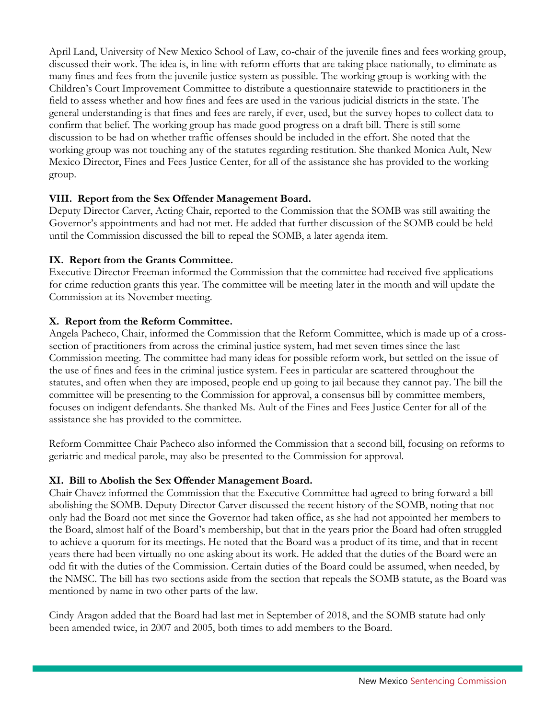April Land, University of New Mexico School of Law, co-chair of the juvenile fines and fees working group, discussed their work. The idea is, in line with reform efforts that are taking place nationally, to eliminate as many fines and fees from the juvenile justice system as possible. The working group is working with the Children's Court Improvement Committee to distribute a questionnaire statewide to practitioners in the field to assess whether and how fines and fees are used in the various judicial districts in the state. The general understanding is that fines and fees are rarely, if ever, used, but the survey hopes to collect data to confirm that belief. The working group has made good progress on a draft bill. There is still some discussion to be had on whether traffic offenses should be included in the effort. She noted that the working group was not touching any of the statutes regarding restitution. She thanked Monica Ault, New Mexico Director, Fines and Fees Justice Center, for all of the assistance she has provided to the working group.

## **VIII. Report from the Sex Offender Management Board.**

Deputy Director Carver, Acting Chair, reported to the Commission that the SOMB was still awaiting the Governor's appointments and had not met. He added that further discussion of the SOMB could be held until the Commission discussed the bill to repeal the SOMB, a later agenda item.

## **IX. Report from the Grants Committee.**

Executive Director Freeman informed the Commission that the committee had received five applications for crime reduction grants this year. The committee will be meeting later in the month and will update the Commission at its November meeting.

## **X. Report from the Reform Committee.**

Angela Pacheco, Chair, informed the Commission that the Reform Committee, which is made up of a crosssection of practitioners from across the criminal justice system, had met seven times since the last Commission meeting. The committee had many ideas for possible reform work, but settled on the issue of the use of fines and fees in the criminal justice system. Fees in particular are scattered throughout the statutes, and often when they are imposed, people end up going to jail because they cannot pay. The bill the committee will be presenting to the Commission for approval, a consensus bill by committee members, focuses on indigent defendants. She thanked Ms. Ault of the Fines and Fees Justice Center for all of the assistance she has provided to the committee.

Reform Committee Chair Pacheco also informed the Commission that a second bill, focusing on reforms to geriatric and medical parole, may also be presented to the Commission for approval.

#### **XI. Bill to Abolish the Sex Offender Management Board.**

Chair Chavez informed the Commission that the Executive Committee had agreed to bring forward a bill abolishing the SOMB. Deputy Director Carver discussed the recent history of the SOMB, noting that not only had the Board not met since the Governor had taken office, as she had not appointed her members to the Board, almost half of the Board's membership, but that in the years prior the Board had often struggled to achieve a quorum for its meetings. He noted that the Board was a product of its time, and that in recent years there had been virtually no one asking about its work. He added that the duties of the Board were an odd fit with the duties of the Commission. Certain duties of the Board could be assumed, when needed, by the NMSC. The bill has two sections aside from the section that repeals the SOMB statute, as the Board was mentioned by name in two other parts of the law.

Cindy Aragon added that the Board had last met in September of 2018, and the SOMB statute had only been amended twice, in 2007 and 2005, both times to add members to the Board.